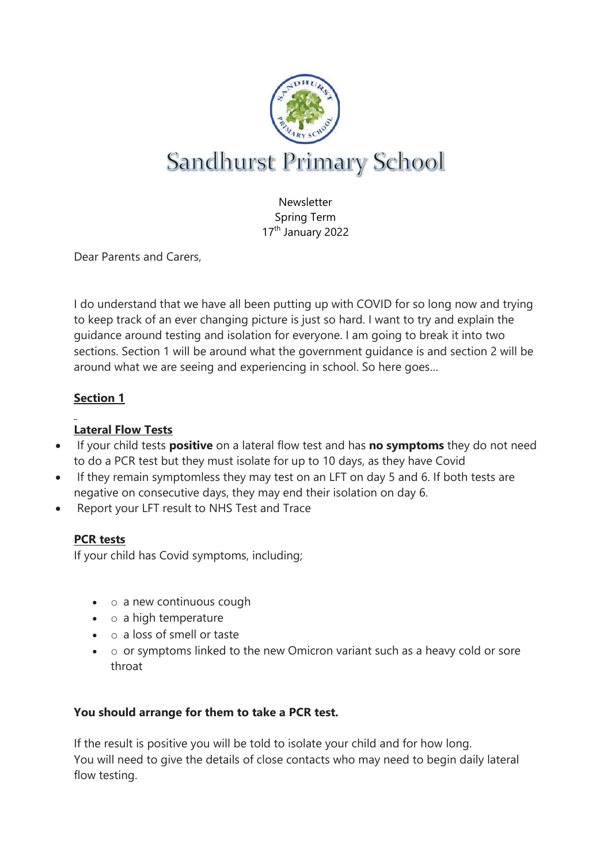

Newsletter Spring Term 17<sup>th</sup> January 2022

Dear Parents and Carers,

I do understand that we have all been putting up with COVID for so long now and trying to keep track of an ever changing picture is just so hard. I want to try and explain the guidance around testing and isolation for everyone. I am going to break it into two sections. Section 1 will be around what the government guidance is and section 2 will be around what we are seeing and experiencing in school. So here goes…

## **Section 1**

# **Lateral Flow Tests**

- If your child tests **positive** on a lateral flow test and has **no symptoms** they do not need to do a PCR test but they must isolate for up to 10 days, as they have Covid
- If they remain symptomless they may test on an LFT on day 5 and 6. If both tests are negative on consecutive days, they may end their isolation on day 6.
- Report your LFT result to NHS Test and Trace

### **PCR tests**

If your child has Covid symptoms, including;

- $\bullet$   $\circ$  a new continuous cough
- $\bullet$  o a high temperature
- $\circ$  a loss of smell or taste
- $\bullet$  o or symptoms linked to the new Omicron variant such as a heavy cold or sore throat

### **You should arrange for them to take a PCR test.**

If the result is positive you will be told to isolate your child and for how long. You will need to give the details of close contacts who may need to begin daily lateral flow testing.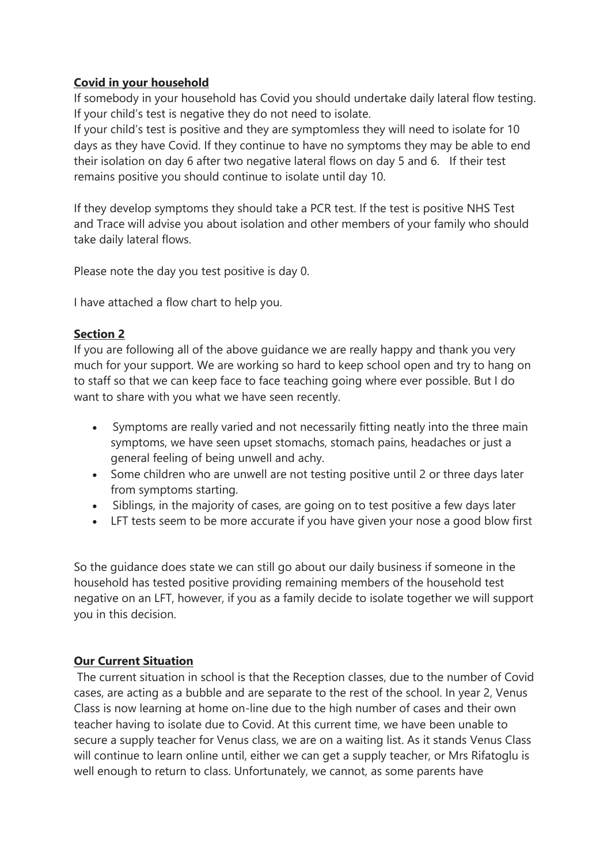#### **Covid in your household**

If somebody in your household has Covid you should undertake daily lateral flow testing. If your child's test is negative they do not need to isolate.

If your child's test is positive and they are symptomless they will need to isolate for 10 days as they have Covid. If they continue to have no symptoms they may be able to end their isolation on day 6 after two negative lateral flows on day 5 and 6. If their test remains positive you should continue to isolate until day 10.

If they develop symptoms they should take a PCR test. If the test is positive NHS Test and Trace will advise you about isolation and other members of your family who should take daily lateral flows.

Please note the day you test positive is day 0.

I have attached a flow chart to help you.

#### **Section 2**

If you are following all of the above guidance we are really happy and thank you very much for your support. We are working so hard to keep school open and try to hang on to staff so that we can keep face to face teaching going where ever possible. But I do want to share with you what we have seen recently.

- Symptoms are really varied and not necessarily fitting neatly into the three main symptoms, we have seen upset stomachs, stomach pains, headaches or just a general feeling of being unwell and achy.
- Some children who are unwell are not testing positive until 2 or three days later from symptoms starting.
- Siblings, in the majority of cases, are going on to test positive a few days later
- LFT tests seem to be more accurate if you have given your nose a good blow first

So the guidance does state we can still go about our daily business if someone in the household has tested positive providing remaining members of the household test negative on an LFT, however, if you as a family decide to isolate together we will support you in this decision.

#### **Our Current Situation**

The current situation in school is that the Reception classes, due to the number of Covid cases, are acting as a bubble and are separate to the rest of the school. In year 2, Venus Class is now learning at home on-line due to the high number of cases and their own teacher having to isolate due to Covid. At this current time, we have been unable to secure a supply teacher for Venus class, we are on a waiting list. As it stands Venus Class will continue to learn online until, either we can get a supply teacher, or Mrs Rifatoglu is well enough to return to class. Unfortunately, we cannot, as some parents have